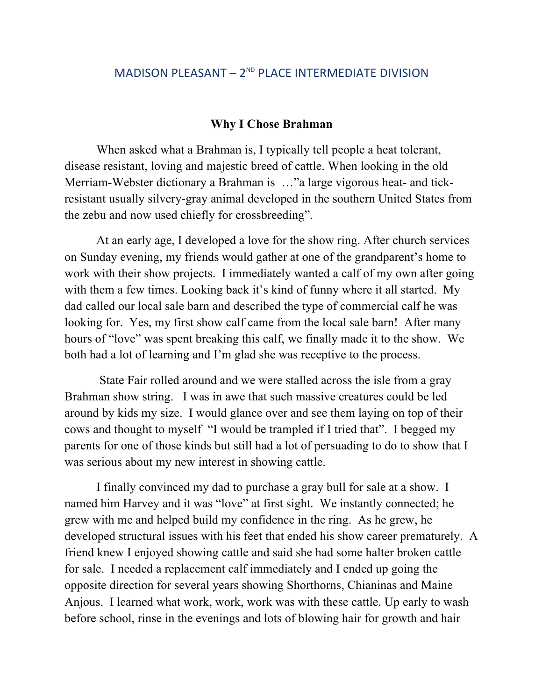## MADISON PLEASANT –  $2^{ND}$  PLACE INTERMEDIATE DIVISION

## **Why I Chose Brahman**

When asked what a Brahman is, I typically tell people a heat tolerant, disease resistant, loving and majestic breed of cattle. When looking in the old Merriam-Webster dictionary a Brahman is …"a large vigorous heat- and tickresistant usually silvery-gray animal developed in the southern United States from the zebu and now used chiefly for crossbreeding".

At an early age, I developed a love for the show ring. After church services on Sunday evening, my friends would gather at one of the grandparent's home to work with their show projects. I immediately wanted a calf of my own after going with them a few times. Looking back it's kind of funny where it all started. My dad called our local sale barn and described the type of commercial calf he was looking for. Yes, my first show calf came from the local sale barn! After many hours of "love" was spent breaking this calf, we finally made it to the show. We both had a lot of learning and I'm glad she was receptive to the process.

State Fair rolled around and we were stalled across the isle from a gray Brahman show string. I was in awe that such massive creatures could be led around by kids my size. I would glance over and see them laying on top of their cows and thought to myself "I would be trampled if I tried that". I begged my parents for one of those kinds but still had a lot of persuading to do to show that I was serious about my new interest in showing cattle.

I finally convinced my dad to purchase a gray bull for sale at a show. I named him Harvey and it was "love" at first sight. We instantly connected; he grew with me and helped build my confidence in the ring. As he grew, he developed structural issues with his feet that ended his show career prematurely. A friend knew I enjoyed showing cattle and said she had some halter broken cattle for sale. I needed a replacement calf immediately and I ended up going the opposite direction for several years showing Shorthorns, Chianinas and Maine Anjous. I learned what work, work, work was with these cattle. Up early to wash before school, rinse in the evenings and lots of blowing hair for growth and hair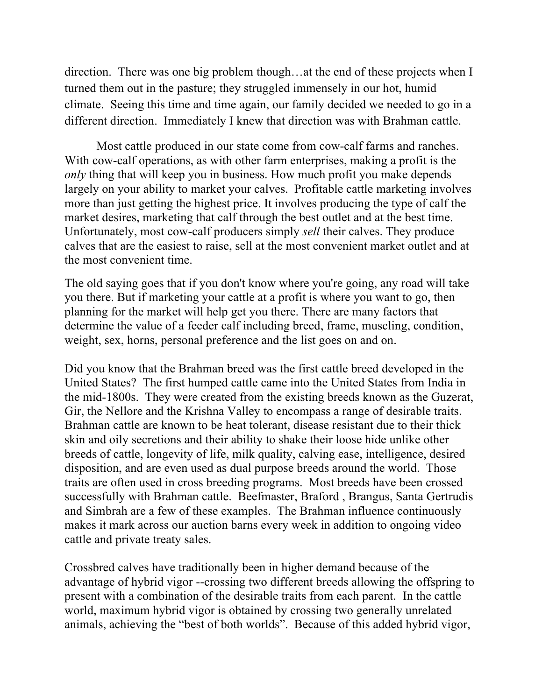direction. There was one big problem though…at the end of these projects when I turned them out in the pasture; they struggled immensely in our hot, humid climate. Seeing this time and time again, our family decided we needed to go in a different direction. Immediately I knew that direction was with Brahman cattle.

Most cattle produced in our state come from cow-calf farms and ranches. With cow-calf operations, as with other farm enterprises, making a profit is the *only* thing that will keep you in business. How much profit you make depends largely on your ability to market your calves. Profitable cattle marketing involves more than just getting the highest price. It involves producing the type of calf the market desires, marketing that calf through the best outlet and at the best time. Unfortunately, most cow-calf producers simply *sell* their calves. They produce calves that are the easiest to raise, sell at the most convenient market outlet and at the most convenient time.

The old saying goes that if you don't know where you're going, any road will take you there. But if marketing your cattle at a profit is where you want to go, then planning for the market will help get you there. There are many factors that determine the value of a feeder calf including breed, frame, muscling, condition, weight, sex, horns, personal preference and the list goes on and on.

Did you know that the Brahman breed was the first cattle breed developed in the United States? The first humped cattle came into the United States from India in the mid-1800s. They were created from the existing breeds known as the Guzerat, Gir, the Nellore and the Krishna Valley to encompass a range of desirable traits. Brahman cattle are known to be heat tolerant, disease resistant due to their thick skin and oily secretions and their ability to shake their loose hide unlike other breeds of cattle, longevity of life, milk quality, calving ease, intelligence, desired disposition, and are even used as dual purpose breeds around the world. Those traits are often used in cross breeding programs. Most breeds have been crossed successfully with Brahman cattle. Beefmaster, Braford , Brangus, Santa Gertrudis and Simbrah are a few of these examples. The Brahman influence continuously makes it mark across our auction barns every week in addition to ongoing video cattle and private treaty sales.

Crossbred calves have traditionally been in higher demand because of the advantage of hybrid vigor --crossing two different breeds allowing the offspring to present with a combination of the desirable traits from each parent. In the cattle world, maximum hybrid vigor is obtained by crossing two generally unrelated animals, achieving the "best of both worlds". Because of this added hybrid vigor,